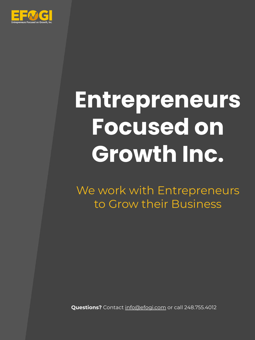

# **Entrepreneurs Focused on Growth Inc.**

We work with Entrepreneurs to Grow their Business

**Questions?** Contact [info@efogi.com](mailto:info@efogi.com) or call 248.755.4012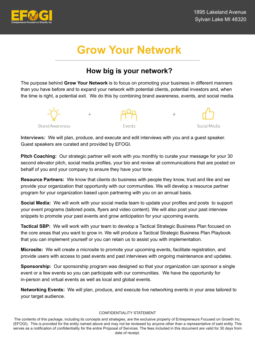

# **Grow Your Network**

## **How big is your network?**

The purpose behind **Grow Your Network** is to focus on promoting your business in different manners than you have before and to expand your network with potential clients, potential investors and, when the time is right, a potential exit. We do this by combining brand awareness, events, and social media.



**Interviews:** We will plan, produce, and execute and edit interviews with you and a guest speaker. Guest speakers are curated and provided by EFOGI.

**Pitch Coaching:** Our strategic partner will work with you monthly to curate your message for your 30 second elevator pitch, social media profiles, your bio and review all communications that are posted on behalf of you and your company to ensure they have your tone.

**Resource Partners:** We know that clients do business with people they know, trust and like and we provide your organization that opportunity with our communities. We will develop a resource partner program for your organization based upon partnering with you on an annual basis.

**Social Media:** We will work with your social media team to update your profiles and posts to support your event programs (tailored posts, flyers and video content). We will also post your past interview snippets to promote your past events and grow anticipation for your upcoming events.

**Tactical SBP:** We will work with your team to develop a Tactical Strategic Business Plan focused on the core areas that you want to grow in. We will produce a Tactical Strategic Business Plan Playbook that you can implement yourself or you can retain us to assist you with implementation.

**Microsite:** We will create a microsite to promote your upcoming events, facilitate registration, and provide users with access to past events and past interviews with ongoing maintenance and updates.

**Sponsorship:** Our sponsorship program was designed so that your organization can sponsor a single event or a few events so you can participate with our communities. We have the opportunity for in-person and virtual events as well as local and global events.

**Networking Events:** We will plan, produce, and execute live networking events in your area tailored to your target audience.

#### CONFIDENTIALITY STATEMENT

The contents of this package, including its concepts and strategies, are the exclusive property of Entrepreneurs Focused on Growth Inc. (EFOGI). This is provided for the entity named above and may not be reviewed by anyone other than a representative of said entity. This serves as a notification of confidentiality for the entire Proposal of Services. The fees included in this document are valid for 30 days from date of receipt.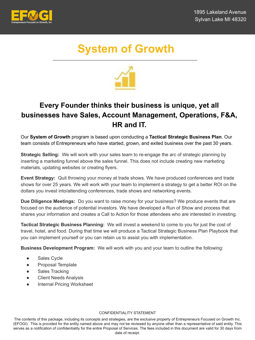

# **System of Growth**



## **Every Founder thinks their business is unique, yet all businesses have Sales, Account Management, Operations, F&A, HR and IT.**

Our **System of Growth** program is based upon conducting a **Tactical Strategic Business Plan**. Our team consists of Entrepreneurs who have started, grown, and exited business over the past 30 years.

**Strategic Selling:** We will work with your sales team to re-engage the arc of strategic planning by inserting a marketing funnel above the sales funnel. This does not include creating new marketing materials, updating websites or creating flyers.

**Event Strategy:** Quit throwing your money at trade shows. We have produced conferences and trade shows for over 25 years. We will work with your team to implement a strategy to get a better ROI on the dollars you invest into/attending conferences, trade shows and networking events.

**Due Diligence Meetings:** Do you want to raise money for your business? We produce events that are focused on the audience of potential investors. We have developed a Run of Show and process that shares your information and creates a Call to Action for those attendees who are interested in investing.

**Tactical Strategic Business Planning:** We will invest a weekend to come to you for just the cost of travel, hotel, and food. During that time we will produce a Tactical Strategic Business Plan Playbook that you can implement yourself or you can retain us to assist you with implementation.

**Business Development Program:** We will work with you and your team to outline the following:

- Sales Cycle
- Proposal Template
- Sales Tracking
- Client Needs Analysis
- **Internal Pricing Worksheet**

#### CONFIDENTIALITY STATEMENT

The contents of this package, including its concepts and strategies, are the exclusive property of Entrepreneurs Focused on Growth Inc. (EFOGI). This is provided for the entity named above and may not be reviewed by anyone other than a representative of said entity. This serves as a notification of confidentiality for the entire Proposal of Services. The fees included in this document are valid for 30 days from date of receipt.